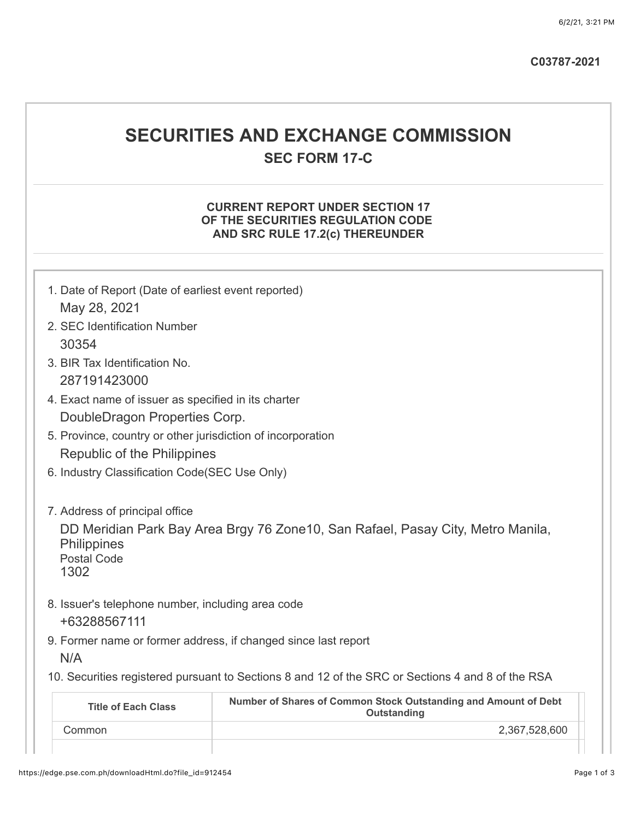**C03787-2021**

## **SECURITIES AND EXCHANGE COMMISSION SEC FORM 17-C**

### **CURRENT REPORT UNDER SECTION 17 OF THE SECURITIES REGULATION CODE AND SRC RULE 17.2(c) THEREUNDER**

| 1. Date of Report (Date of earliest event reported)<br>May 28, 2021                |                                                                                                   |
|------------------------------------------------------------------------------------|---------------------------------------------------------------------------------------------------|
| 2. SEC Identification Number                                                       |                                                                                                   |
| 30354                                                                              |                                                                                                   |
| 3. BIR Tax Identification No.                                                      |                                                                                                   |
| 287191423000                                                                       |                                                                                                   |
| 4. Exact name of issuer as specified in its charter                                |                                                                                                   |
| DoubleDragon Properties Corp.                                                      |                                                                                                   |
| 5. Province, country or other jurisdiction of incorporation                        |                                                                                                   |
| Republic of the Philippines                                                        |                                                                                                   |
| 6. Industry Classification Code(SEC Use Only)                                      |                                                                                                   |
| 7. Address of principal office<br><b>Philippines</b><br><b>Postal Code</b><br>1302 | DD Meridian Park Bay Area Brgy 76 Zone 10, San Rafael, Pasay City, Metro Manila,                  |
| 8. Issuer's telephone number, including area code<br>+63288567111                  |                                                                                                   |
| 9. Former name or former address, if changed since last report                     |                                                                                                   |
| N/A                                                                                |                                                                                                   |
|                                                                                    | 10. Securities registered pursuant to Sections 8 and 12 of the SRC or Sections 4 and 8 of the RSA |
| <b>Title of Each Class</b>                                                         | Number of Shares of Common Stock Outstanding and Amount of Debt<br>Outstanding                    |
| Common                                                                             | 2,367,528,600                                                                                     |
|                                                                                    |                                                                                                   |

Ш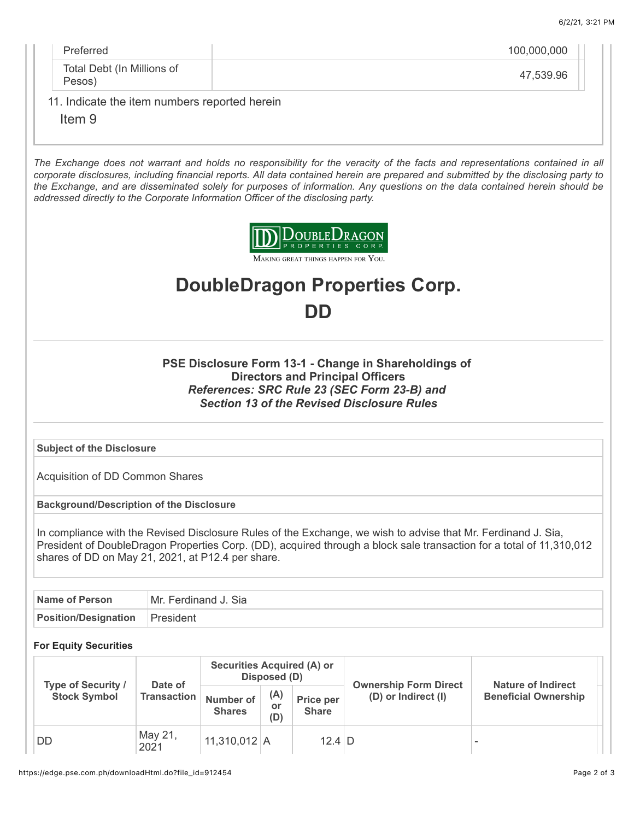| Preferred                                               | 100,000,000 |
|---------------------------------------------------------|-------------|
| Total Debt (In Millions of<br>Pesos)                    | 47,539.96   |
| 11. Indicate the item numbers reported herein<br>Item 9 |             |

*The Exchange does not warrant and holds no responsibility for the veracity of the facts and representations contained in all corporate disclosures, including financial reports. All data contained herein are prepared and submitted by the disclosing party to the Exchange, and are disseminated solely for purposes of information. Any questions on the data contained herein should be addressed directly to the Corporate Information Officer of the disclosing party.*



MAKING GREAT THINGS HAPPEN FOR YOU.

# **DoubleDragon Properties Corp. DD**

#### **PSE Disclosure Form 13-1 - Change in Shareholdings of Directors and Principal Officers** *References: SRC Rule 23 (SEC Form 23-B) and Section 13 of the Revised Disclosure Rules*

#### **Subject of the Disclosure**

Acquisition of DD Common Shares

**Background/Description of the Disclosure**

In compliance with the Revised Disclosure Rules of the Exchange, we wish to advise that Mr. Ferdinand J. Sia, President of DoubleDragon Properties Corp. (DD), acquired through a block sale transaction for a total of 11,310,012 shares of DD on May 21, 2021, at P12.4 per share.

| <b>Name of Person</b>                 | Mr. Ferdinand J. Sia |
|---------------------------------------|----------------------|
| <b>Position/Designation</b> President |                      |

#### **For Equity Securities**

| Type of Security /  | Date of            | Securities Acquired (A) or | Disposed (D)     |                           | <b>Ownership Form Direct</b> | Nature of Indirect          |
|---------------------|--------------------|----------------------------|------------------|---------------------------|------------------------------|-----------------------------|
| <b>Stock Symbol</b> | <b>Transaction</b> | Number of<br><b>Shares</b> | (A)<br>or<br>(D) | Price per<br><b>Share</b> | (D) or Indirect (I)          | <b>Beneficial Ownership</b> |
| DD                  | May 21,<br>2021    | $11,310,012$ A             |                  | $12.4$ D                  |                              |                             |